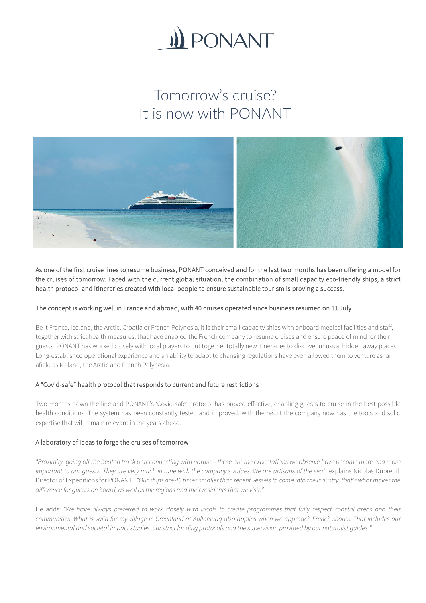

# Tomorrow's cruise? It is now with PONANT



As one of the first cruise lines to resume business, PONANT conceived and for the last two months has been offering a model for the cruises of tomorrow. Faced with the current global situation, the combination of small capacity eco-friendly ships, a strict health protocol and itineraries created with local people to ensure sustainable tourism is proving a success.

## The concept is working well in France and abroad, with 40 cruises operated since business resumed on 11 July

Be it France, Iceland, the Arctic, Croatia or French Polynesia, it is their small capacity ships with onboard medical facilities and staff, together with strict health measures, that have enabled the French company to resume cruises and ensure peace of mind for their guests. PONANT has worked closely with local players to put together totally new itineraries to discover unusual hidden away places. Long-established operational experience and an ability to adapt to changing regulations have even allowed them to venture as far afield as Iceland, the Arctic and French Polynesia.

## A "Covid-safe" health protocol that responds to current and future restrictions

Two months down the line and PONANT's 'Covid-safe' protocol has proved effective, enabling guests to cruise in the best possible health conditions. The system has been constantly tested and improved, with the result the company now has the tools and solid expertise that will remain relevant in the years ahead.

## A laboratory of ideas to forge the cruises of tomorrow

*"Proximity, going off the beaten track or reconnecting with nature – these are the expectations we observe have become more and more important to our quests. They are very much in tune with the company's values. We are artisans of the sea!"* explains Nicolas Dubreuil, Director of Expeditions for PONANT. *"Our ships are 40 times smaller than recent vessels to come into the industry, that's what makes the difference for guests on board, as well as the regions and their residents that we visit."*

He adds: *"We have always preferred to work closely with locals to create programmes that fully respect coastal areas and their communities. What is valid for my village in Greenland at Kullorsuaq also applies when we approach French shores. That includes our environmental and societal impact studies, our strict landing protocols and the supervision provided by our naturalist guides."*